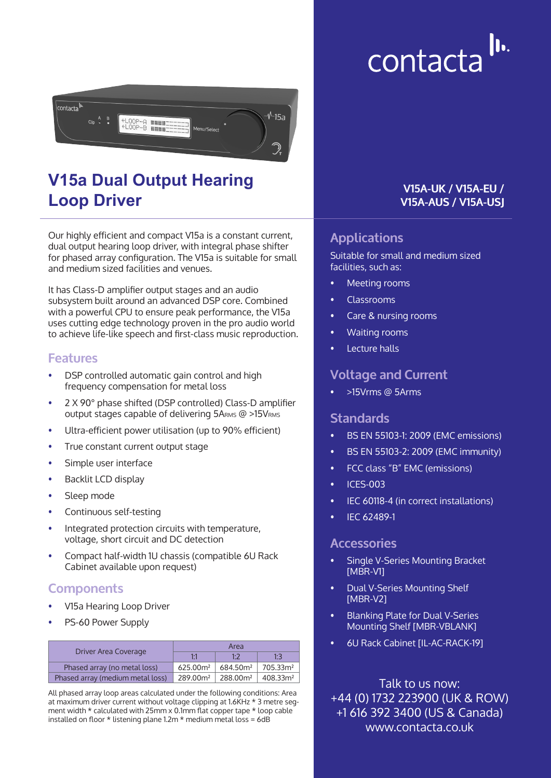# $\| \mathbf{b} \|$ contacta



# **V15a Dual Output Hearing Loop Driver**

Our highly efficient and compact V15a is a constant current, dual output hearing loop driver, with integral phase shifter for phased array configuration. The V15a is suitable for small and medium sized facilities and venues.

It has Class-D amplifier output stages and an audio subsystem built around an advanced DSP core. Combined with a powerful CPU to ensure peak performance, the V15a uses cutting edge technology proven in the pro audio world to achieve life-like speech and first-class music reproduction.

#### **Features**

- DSP controlled automatic gain control and high frequency compensation for metal loss
- 2 X 90° phase shifted (DSP controlled) Class-D amplifier output stages capable of delivering 5ARMS @ >15VRMS
- Ultra-efficient power utilisation (up to 90% efficient)
- True constant current output stage
- Simple user interface
- Backlit LCD display
- Sleep mode
- Continuous self-testing
- Integrated protection circuits with temperature, voltage, short circuit and DC detection
- Compact half-width 1U chassis (compatible 6U Rack Cabinet available upon request)

#### **Components**

- V15a Hearing Loop Driver
- PS-60 Power Supply

| Driver Area Coverage             | Area                 |                                    |     |
|----------------------------------|----------------------|------------------------------------|-----|
|                                  |                      | $1 - 7$                            | 1.3 |
| Phased array (no metal loss)     | 625.00 <sup>m²</sup> | $684.50m2$ 705.33m <sup>2</sup>    |     |
| Phased array (medium metal loss) | 289.00m <sup>2</sup> | $288.00m^2$   408.33m <sup>2</sup> |     |

All phased array loop areas calculated under the following conditions: Area at maximum driver current without voltage clipping at 1.6KHz \* 3 metre segment width \* calculated with 25mm x 0.1mm flat copper tape \* loop cable installed on floor \* listening plane 1.2m \* medium metal loss = 6dB

#### **V15A-UK / V15A-EU / V15A-AUS / V15A-USJ**

## **Applications**

Suitable for small and medium sized facilities, such as:

- Meeting rooms
- Classrooms
- Care & nursing rooms
- Waiting rooms
- Lecture halls

#### **Voltage and Current**

• >15Vrms @ 5Arms

#### **Standards**

- BS EN 55103-1: 2009 (EMC emissions)
- BS EN 55103-2: 2009 (EMC immunity)
- FCC class "B" EMC (emissions)
- ICES-003
- IEC 60118-4 (in correct installations)
- IEC 62489-1

#### **Accessories**

- Single V-Series Mounting Bracket [MBR-V1]
- Dual V-Series Mounting Shelf [MBR-V2]
- Blanking Plate for Dual V-Series Mounting Shelf [MBR-VBLANK]
- 6U Rack Cabinet [IL-AC-RACK-19]

Talk to us now: +44 (0) 1732 223900 (UK & ROW) +1 616 392 3400 (US & Canada) www.contacta.co.uk